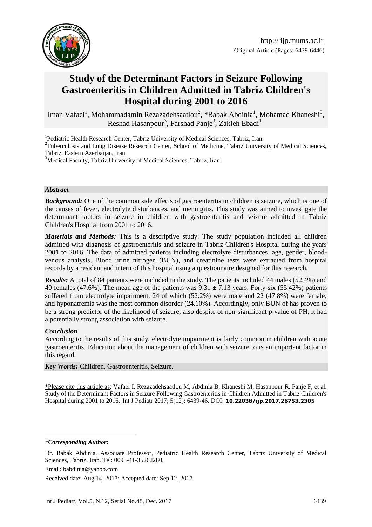

# **Study of the Determinant Factors in Seizure Following Gastroenteritis in Children Admitted in Tabriz Children's Hospital during 2001 to 2016**

Iman Vafaei<sup>1</sup>, Mohammadamin Rezazadehsaatlou<sup>2</sup>, \*Babak Abdinia<sup>1</sup>, Mohamad Khaneshi<sup>3</sup>, Reshad Hasanpour<sup>3</sup>, Farshad Panje<sup>3</sup>, Zakieh Ebadi<sup>1</sup>

<sup>1</sup>Pediatric Health Research Center, Tabriz University of Medical Sciences, Tabriz, Iran.

<sup>2</sup>Tuberculosis and Lung Disease Research Center, School of Medicine, Tabriz University of Medical Sciences, Tabriz, Eastern Azerbaijan, Iran.

<sup>3</sup>Medical Faculty, Tabriz University of Medical Sciences, Tabriz, Iran.

#### *Abstract*

**Background:** One of the common side effects of gastroenteritis in children is seizure, which is one of the causes of fever, electrolyte disturbances, and meningitis. This study was aimed to investigate the determinant factors in seizure in children with gastroenteritis and seizure admitted in Tabriz Children's Hospital from 2001 to 2016.

*Materials and Methods:* This is a descriptive study. The study population included all children admitted with diagnosis of gastroenteritis and seizure in Tabriz Children's Hospital during the years 2001 to 2016. The data of admitted patients including electrolyte disturbances, age, gender, bloodvenous analysis, Blood urine nitrogen (BUN), and creatinine tests were extracted from hospital records by a resident and intern of this hospital using a questionnaire designed for this research.

*Results:* A total of 84 patients were included in the study. The patients included 44 males (52.4%) and 40 females (47.6%). The mean age of the patients was  $9.31 \pm 7.13$  years. Forty-six (55.42%) patients suffered from electrolyte impairment, 24 of which (52.2%) were male and 22 (47.8%) were female; and hyponatremia was the most common disorder (24.10%). Accordingly, only BUN of has proven to be a strong predictor of the likelihood of seizure; also despite of non-significant p-value of PH, it had a potentially strong association with seizure.

#### *Conclusion*

According to the results of this study, electrolyte impairment is fairly common in children with acute gastroenteritis. Education about the management of children with seizure to is an important factor in this regard.

*Key Words:* Children, Gastroenteritis, Seizure.

\*Please cite this article as: Vafaei I, Rezazadehsaatlou M, Abdinia B, Khaneshi M, Hasanpour R, Panje F, et al. Study of the Determinant Factors in Seizure Following Gastroenteritis in Children Admitted in Tabriz Children's Hospital during 2001 to 2016. Int J Pediatr 2017; 5(12): 6439-46. DOI: **10.22038/ijp.2017.26753.2305**

*\*Corresponding Author:*

<u>.</u>

Email: babdinia@yahoo.com

Received date: Aug.14, 2017; Accepted date: Sep.12, 2017

Dr. Babak Abdinia, Associate Professor, Pediatric Health Research Center, Tabriz University of Medical Sciences, Tabriz, Iran. Tel: 0098-41-35262280.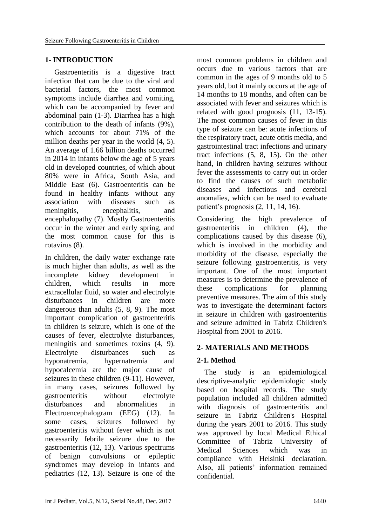#### **1- INTRODUCTION**

 Gastroenteritis is a digestive tract infection that can be due to the viral and bacterial factors, the most common symptoms include diarrhea and vomiting, which can be accompanied by fever and abdominal pain (1-3). Diarrhea has a high contribution to the death of infants (9%), which accounts for about 71% of the million deaths per year in the world (4, 5). An average of 1.66 billion deaths occurred in 2014 in infants below the age of 5 years old in developed countries, of which about 80% were in Africa, South Asia, and Middle East (6). Gastroenteritis can be found in healthy infants without any association with diseases such as meningitis, encephalitis, and encephalopathy (7). Mostly Gastroenteritis occur in the winter and early spring, and the most common cause for this is rotavirus (8).

In children, the daily water exchange rate is much higher than adults, as well as the incomplete kidney development in children, which results in more extracellular fluid, so water and electrolyte disturbances in children are more dangerous than adults (5, 8, 9). The most important complication of gastroenteritis in children is seizure, which is one of the causes of fever, electrolyte disturbances, meningitis and sometimes toxins (4, 9). Electrolyte disturbances such as hyponatremia, hypernatremia and hypocalcemia are the major cause of seizures in these children (9-11). However, in many cases, seizures followed by gastroenteritis without electrolyte disturbances and abnormalities in Electroencephalogram (EEG) (12). In some cases, seizures followed by gastroenteritis without fever which is not necessarily febrile seizure due to the gastroenteritis (12, 13). Various spectrums of benign convulsions or epileptic syndromes may develop in infants and pediatrics (12, 13). Seizure is one of the most common problems in children and occurs due to various factors that are common in the ages of 9 months old to 5 years old, but it mainly occurs at the age of 14 months to 18 months, and often can be associated with fever and seizures which is related with good prognosis (11, 13-15). The most common causes of fever in this type of seizure can be: acute infections of the respiratory tract, acute otitis media, and gastrointestinal tract infections and urinary tract infections (5, 8, 15). On the other hand, in children having seizures without fever the assessments to carry out in order to find the causes of such metabolic diseases and infectious and cerebral anomalies, which can be used to evaluate patient's prognosis (2, 11, 14, 16).

Considering the high prevalence of gastroenteritis in children (4), the complications caused by this disease (6), which is involved in the morbidity and morbidity of the disease, especially the seizure following gastroenteritis, is very important. One of the most important measures is to determine the prevalence of these complications for planning preventive measures. The aim of this study was to investigate the determinant factors in seizure in children with gastroenteritis and seizure admitted in Tabriz Children's Hospital from 2001 to 2016.

## **2- MATERIALS AND METHODS**

## **2-1. Method**

 The study is an epidemiological descriptive-analytic epidemiologic study based on hospital records. The study population included all children admitted with diagnosis of gastroenteritis and seizure in Tabriz Children's Hospital during the years 2001 to 2016. This study was approved by local Medical Ethical Committee of Tabriz University of Medical Sciences which was in compliance with Helsinki declaration. Also, all patients' information remained confidential.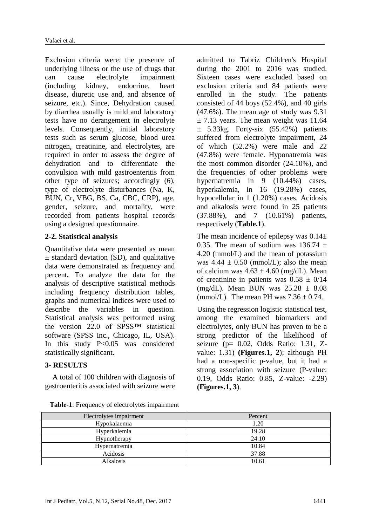Exclusion criteria were: the presence of underlying illness or the use of drugs that can cause electrolyte impairment (including kidney, endocrine, heart disease, diuretic use and, and absence of seizure, etc.). Since, Dehydration caused by diarrhea usually is mild and laboratory tests have no derangement in electrolyte levels. Consequently, initial laboratory tests such as serum glucose, blood urea nitrogen, creatinine, and electrolytes, are required in order to assess the degree of dehydration and to differentiate the convulsion with mild gastroenteritis from other type of seizures; accordingly (6), type of electrolyte disturbances (Na, K, BUN, Cr, VBG, BS, Ca, CBC, CRP), age, gender, seizure, and mortality, were recorded from patients hospital records using a designed questionnaire.

## **2-2. Statistical analysis**

Quantitative data were presented as mean  $\pm$  standard deviation (SD), and qualitative data were demonstrated as frequency and percent**.** To analyze the data for the analysis of descriptive statistical methods including frequency distribution tables, graphs and numerical indices were used to describe the variables in question. Statistical analysis was performed using the version 22.0 of SPSS™ statistical software (SPSS Inc., Chicago, IL, USA). In this study P<0.05 was considered statistically significant.

## **3- RESULTS**

 A total of 100 children with diagnosis of gastroenteritis associated with seizure were

admitted to Tabriz Children's Hospital during the 2001 to 2016 was studied. Sixteen cases were excluded based on exclusion criteria and 84 patients were enrolled in the study. The patients consisted of 44 boys (52.4%), and 40 girls (47.6%). The mean age of study was 9.31  $\pm$  7.13 years. The mean weight was 11.64  $\pm$  5.33kg. Forty-six (55.42%) patients suffered from electrolyte impairment, 24 of which (52.2%) were male and 22 (47.8%) were female. Hyponatremia was the most common disorder (24.10%), and the frequencies of other problems were hypernatremia in 9 (10.44%) cases, hyperkalemia, in 16 (19.28%) cases, hypocellular in 1 (1.20%) cases. Acidosis and alkalosis were found in 25 patients (37.88%), and 7 (10.61%) patients, respectively (**Table.1**).

The mean incidence of epilepsy was  $0.14\pm$ 0.35. The mean of sodium was  $136.74 \pm$ 4.20 (mmol/L) and the mean of potassium was  $4.44 \pm 0.50$  (mmol/L); also the mean of calcium was  $4.63 \pm 4.60$  (mg/dL). Mean of creatinine in patients was  $0.58 \pm 0/14$ (mg/dL). Mean BUN was  $25.28 \pm 8.08$ (mmol/L). The mean PH was  $7.36 \pm 0.74$ .

Using the regression logistic statistical test, among the examined biomarkers and electrolytes, only BUN has proven to be a strong predictor of the likelihood of seizure (p= 0.02, Odds Ratio: 1.31, Zvalue: 1.31) **(Figures.1, 2**); although PH had a non-specific p-value, but it had a strong association with seizure (P-value: 0.19, Odds Ratio: 0.85, Z-value: -2.29) **(Figures.1, 3**).

| Electrolytes impairment | Percent |
|-------------------------|---------|
| Hypokalaemia            | 1.20    |
| Hyperkalemia            | 19.28   |
| Hypnotherapy            | 24.10   |
| Hypernatremia           | 10.84   |
| Acidosis                | 37.88   |
| Alkalosis               | 10.61   |

**Table-1**: Frequency of electrolytes impairment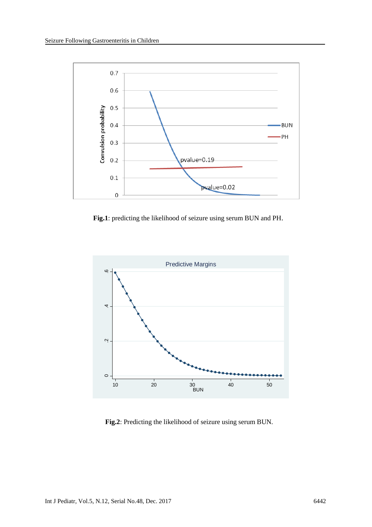

 **Fig.1**: predicting the likelihood of seizure using serum BUN and PH.



 **Fig.2**: Predicting the likelihood of seizure using serum BUN.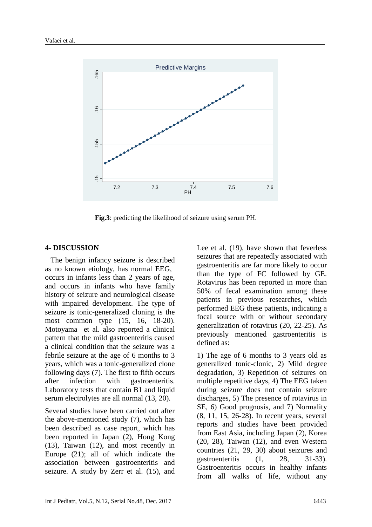

 **Fig.3**: predicting the likelihood of seizure using serum PH.

#### **4- DISCUSSION**

 The benign infancy seizure is described as no known etiology, has normal EEG, occurs in infants less than 2 years of age, and occurs in infants who have family history of seizure and neurological disease with impaired development. The type of seizure is tonic-generalized cloning is the most common type (15, 16, 18-20). Motoyama et al. also reported a clinical pattern that the mild gastroenteritis caused a clinical condition that the seizure was a febrile seizure at the age of 6 months to 3 years, which was a tonic-generalized clone following days (7). The first to fifth occurs after infection with gastroenteritis. Laboratory tests that contain B1 and liquid serum electrolytes are all normal (13, 20).

Several studies have been carried out after the above-mentioned study (7), which has been described as case report, which has been reported in Japan (2), Hong Kong (13), Taiwan (12), and most recently in Europe (21); all of which indicate the association between gastroenteritis and seizure. A study by Zerr et al. (15), and Lee et al. (19), have shown that feverless seizures that are repeatedly associated with gastroenteritis are far more likely to occur than the type of FC followed by GE. Rotavirus has been reported in more than 50% of fecal examination among these patients in previous researches, which performed EEG these patients, indicating a focal source with or without secondary generalization of rotavirus (20, 22-25). As previously mentioned gastroenteritis is defined as:

1) The age of 6 months to 3 years old as generalized tonic-clonic, 2) Mild degree degradation, 3) Repetition of seizures on multiple repetitive days, 4) The EEG taken during seizure does not contain seizure discharges, 5) The presence of rotavirus in SE, 6) Good prognosis, and 7) Normality (8, 11, 15, 26-28). In recent years, several reports and studies have been provided from East Asia, including Japan (2), Korea (20, 28), Taiwan (12), and even Western countries (21, 29, 30) about seizures and gastroenteritis (1, 28, 31-33). Gastroenteritis occurs in healthy infants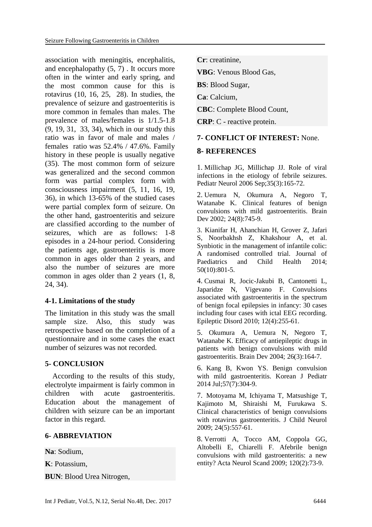association with meningitis, encephalitis, and encephalopathy (5, 7) . It occurs more often in the winter and early spring, and the most common cause for this is rotavirus (10, 16, 25, 28). In studies, the prevalence of seizure and gastroenteritis is more common in females than males. The prevalence of males/females is 1/1.5-1.8 (9, 19, 31, 33, 34), which in our study this ratio was in favor of male and males / females ratio was 52.4% / 47.6%. Family history in these people is usually negative (35). The most common form of seizure was generalized and the second common form was partial complex form with consciousness impairment (5, 11, 16, 19, 36), in which 13-65% of the studied cases were partial complex form of seizure. On the other hand, gastroenteritis and seizure are classified according to the number of seizures, which are as follows: 1-8 episodes in a 24-hour period. Considering the patients age, gastroenteritis is more common in ages older than 2 years, and also the number of seizures are more common in ages older than 2 years (1, 8, 24, 34).

# **4-1. Limitations of the study**

The limitation in this study was the small sample size. Also, this study was retrospective based on the completion of a questionnaire and in some cases the exact number of seizures was not recorded.

# **5- CONCLUSION**

 According to the results of this study, electrolyte impairment is fairly common in children with acute gastroenteritis. Education about the management of children with seizure can be an important factor in this regard.

# **6- ABBREVIATION**

**Na**: Sodium,

**K**: Potassium,

**BUN**: Blood Urea Nitrogen,

**Cr**: creatinine,

**VBG**: Venous Blood Gas,

**BS**: Blood Sugar,

**Ca**: Calcium,

**CBC**: Complete Blood Count,

**CRP**: C - reactive protein.

# **7- CONFLICT OF INTEREST:** None.

## **8- REFERENCES**

1. Millichap JG, Millichap JJ. Role of viral infections in the etiology of febrile seizures. Pediatr Neurol 2006 Sep;35(3):165-72.

2. Uemura N, Okumura A, Negoro T, Watanabe K. Clinical features of benign convulsions with mild gastroenteritis. Brain Dev 2002; 24(8):745-9.

3. [Kianifar H,](https://www.scopus.com/authid/detail.uri?authorId=29067925900&eid=2-s2.0-84908247473) [Ahanchian H,](https://www.scopus.com/authid/detail.uri?authorId=21833701600&eid=2-s2.0-84908247473) [Grover Z,](https://www.scopus.com/authid/detail.uri?authorId=16301181100&eid=2-s2.0-84908247473) [Jafari](https://www.scopus.com/authid/detail.uri?authorId=55442873400&eid=2-s2.0-84908247473)  [S,](https://www.scopus.com/authid/detail.uri?authorId=55442873400&eid=2-s2.0-84908247473) [Noorbakhsh Z,](https://www.scopus.com/authid/detail.uri?authorId=56222140900&eid=2-s2.0-84908247473) [Khakshour A,](https://www.scopus.com/authid/detail.uri?authorId=55550328600&eid=2-s2.0-84908247473) et al. Synbiotic in the management of infantile colic: A randomised controlled trial. [Journal of](https://www.scopus.com/sourceid/15108?origin=recordpage)  [Paediatrics and Child Health](https://www.scopus.com/sourceid/15108?origin=recordpage) 2014; 50(10):801-5.

4. Cusmai R, Jocic-Jakubi B, Cantonetti L, Japaridze N, Vigevano F. Convulsions associated with gastroenteritis in the spectrum of benign focal epilepsies in infancy: 30 cases including four cases with ictal EEG recording. Epileptic Disord 2010; 12(4):255-61.

5. Okumura A, Uemura N, Negoro T, Watanabe K. Efficacy of antiepileptic drugs in patients with benign convulsions with mild gastroenteritis. Brain Dev 2004; 26(3):164-7.

6. Kang B, Kwon YS. Benign convulsion with mild gastroenteritis. Korean J Pediatr 2014 Jul;57(7):304-9.

7. Motoyama M, Ichiyama T, Matsushige T, Kajimoto M, Shiraishi M, Furukawa S. Clinical characteristics of benign convulsions with rotavirus gastroenteritis. J Child Neurol 2009; 24(5):557-61.

8. Verrotti A, Tocco AM, Coppola GG, Altobelli E, Chiarelli F. Afebrile benign convulsions with mild gastroenteritis: a new entity? Acta Neurol Scand 2009; 120(2):73-9.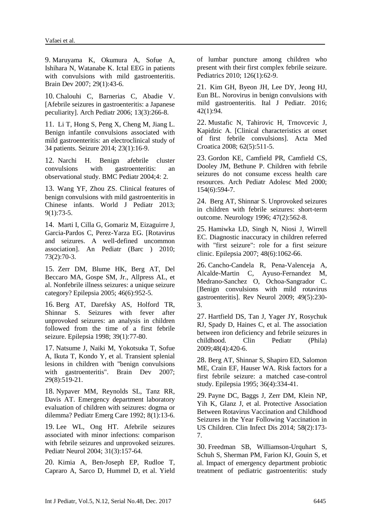9. Maruyama K, Okumura A, Sofue A, Ishihara N, Watanabe K. Ictal EEG in patients with convulsions with mild gastroenteritis. Brain Dev 2007; 29(1):43-6.

10. Chalouhi C, Barnerias C, Abadie V. [Afebrile seizures in gastroenteritis: a Japanese peculiarity]. Arch Pediatr 2006; 13(3):266-8.

11. Li T, Hong S, Peng X, Cheng M, Jiang L. Benign infantile convulsions associated with mild gastroenteritis: an electroclinical study of 34 patients. Seizure 2014; 23(1):16-9.

12. Narchi H. Benign afebrile cluster convulsions with gastroenteritis: an observational study. BMC Pediatr 2004;4: 2.

13. Wang YF, Zhou ZS. Clinical features of benign convulsions with mild gastroenteritis in Chinese infants. World J Pediatr 2013; 9(1):73-5.

14. Marti I, Cilla G, Gomariz M, Eizaguirre J, Garcia-Pardos C, Perez-Yarza EG. [Rotavirus and seizures. A well-defined uncommon association]. An Pediatr (Barc ) 2010; 73(2):70-3.

15. Zerr DM, Blume HK, Berg AT, Del Beccaro MA, Gospe SM, Jr., Allpress AL, et al. Nonfebrile illness seizures: a unique seizure category? Epilepsia 2005; 46(6):952-5.

16. Berg AT, Darefsky AS, Holford TR, Shinnar S. Seizures with fever after unprovoked seizures: an analysis in children followed from the time of a first febrile seizure. Epilepsia 1998; 39(1):77-80.

17. Natsume J, Naiki M, Yokotsuka T, Sofue A, Ikuta T, Kondo Y, et al. Transient splenial lesions in children with "benign convulsions with gastroenteritis". Brain Dev 2007; 29(8):519-21.

18. Nypaver MM, Reynolds SL, Tanz RR, Davis AT. Emergency department laboratory evaluation of children with seizures: dogma or dilemma? Pediatr Emerg Care 1992; 8(1):13-6.

19. Lee WL, Ong HT. Afebrile seizures associated with minor infections: comparison with febrile seizures and unprovoked seizures. Pediatr Neurol 2004; 31(3):157-64.

20. Kimia A, Ben-Joseph EP, Rudloe T, Capraro A, Sarco D, Hummel D, et al. Yield of lumbar puncture among children who present with their first complex febrile seizure. Pediatrics 2010; 126(1):62-9.

21. Kim GH, Byeon JH, Lee DY, Jeong HJ, Eun BL. Norovirus in benign convulsions with mild gastroenteritis. [Ital J Pediatr.](https://www.ncbi.nlm.nih.gov/pubmed/27809881) 2016; 42(1):94.

22. Mustafic N, Tahirovic H, Trnovcevic J, Kapidzic A. [Clinical characteristics at onset of first febrile convulsions]. Acta Med Croatica 2008; 62(5):511-5.

23. Gordon KE, Camfield PR, Camfield CS, Dooley JM, Bethune P. Children with febrile seizures do not consume excess health care resources. Arch Pediatr Adolesc Med 2000; 154(6):594-7.

24. Berg AT, Shinnar S. Unprovoked seizures in children with febrile seizures: short-term outcome. Neurology 1996; 47(2):562-8.

25. Hamiwka LD, Singh N, Niosi J, Wirrell EC. Diagnostic inaccuracy in children referred with "first seizure": role for a first seizure clinic. Epilepsia 2007; 48(6):1062-66.

26. Cancho-Candela R, Pena-Valenceja A, Alcalde-Martin C, Ayuso-Fernandez M, Medrano-Sanchez O, Ochoa-Sangrador C. [Benign convulsions with mild rotavirus gastroenteritis]. Rev Neurol 2009; 49(5):230- 3.

27. Hartfield DS, Tan J, Yager JY, Rosychuk RJ, Spady D, Haines C, et al. The association between iron deficiency and febrile seizures in childhood. Clin Pediatr (Phila) 2009;48(4):420-6.

28. Berg AT, Shinnar S, Shapiro ED, Salomon ME, Crain EF, Hauser WA. Risk factors for a first febrile seizure: a matched case-control study. Epilepsia 1995; 36(4):334-41.

29. Payne DC, Baggs J, Zerr DM, Klein NP, Yih K, Glanz J, et al. Protective Association Between Rotavirus Vaccination and Childhood Seizures in the Year Following Vaccination in US Children. Clin Infect Dis 2014; 58(2):173- 7.

30. Freedman SB, Williamson-Urquhart S, Schuh S, Sherman PM, Farion KJ, Gouin S, et al. Impact of emergency department probiotic treatment of pediatric gastroenteritis: study